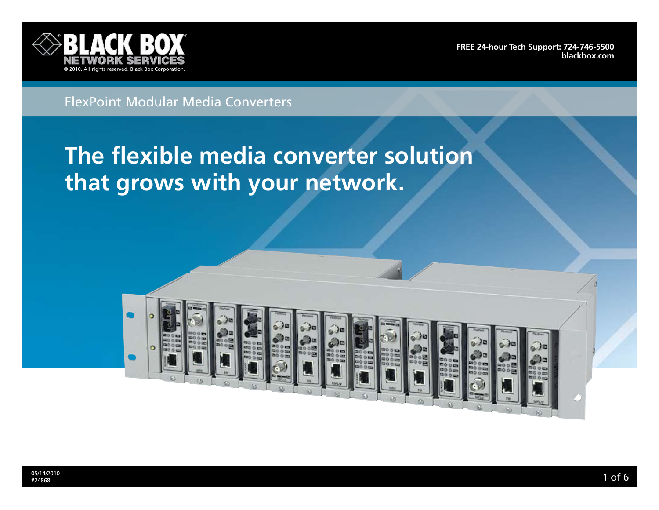

**[Free 24-hour Tech support: 724-746-5500](http://www.blackbox.com/Store/storefront.aspx) blackbox.com**

## FlexPoint Modular Media Converters

# **The flexible media converter solution that grows with your network.**

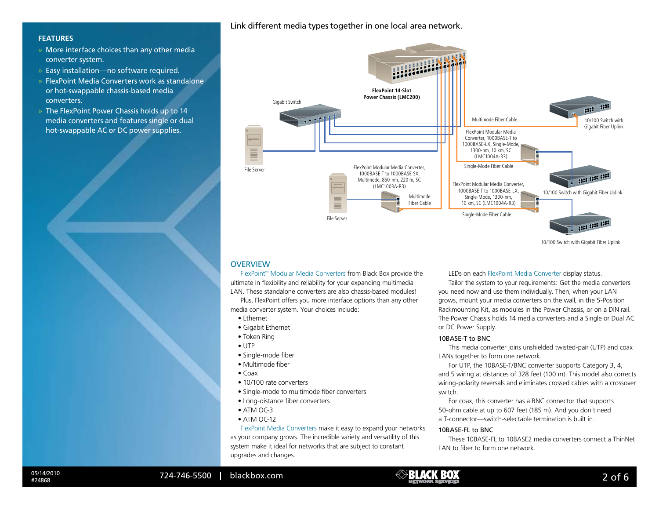## Link different media types together in one local area network.

## **Features**

- » More interface choices than any other media converter system.
- » Easy installation—no software required.
- » FlexPoint Media Converters work as standalone or hot-swappable chassis-based media converters.
- » The FlexPoint Power Chassis holds up to 14 media converters and features single or dual hot-swappable AC or DC power supplies.



10/100 Switch with Gigabit Fiber Uplink

## **OVERVIEW**

FlexPoint™ Modular Media Converters from Black Box provide the ultimate in flexibility and reliability for your expanding multimedia LAN. These standalone converters are also chassis-based modules!

Plus, FlexPoint offers you more interface options than any other media converter system. Your choices include:

- Ethernet
- Gigabit Ethernet
- Token Ring
- UTP
- Single-mode fiber
- Multimode fiber
- $\bullet$  Coax
- 10/100 rate converters
- Single-mode to multimode fiber converters
- Long-distance fiber converters
- $\bullet$  ATM OC-3
- ATM OC-12

FlexPoint Media Converters make it easy to expand your networks as your company grows. The incredible variety and versatility of this system make it ideal for networks that are subject to constant upgrades and changes.

LEDs on each FlexPoint Media Converter display status.

Tailor the system to your requirements: Get the media converters you need now and use them individually. Then, when your LAN grows, mount your media converters on the wall, in the 5-Position Rackmounting Kit, as modules in the Power Chassis, or on a DIN rail. The Power Chassis holds 14 media converters and a Single or Dual AC or DC Power Supply.

### 10BASE-T to BNC

This media converter joins unshielded twisted-pair (UTP) and coax LANs together to form one network.

For UTP, the 10BASE-T/BNC converter supports Category 3, 4, and 5 wiring at distances of 328 feet (100 m). This model also corrects wiring-polarity reversals and eliminates crossed cables with a crossover switch.

For coax, this converter has a BNC connector that supports 50-ohm cable at up to 607 feet (185 m). And you don't need a T-connector—switch-selectable termination is built in.

## 10BASE-FL to BNC

These 10BASE-FL to 10BASE2 media converters connect a ThinNet LAN to fiber to form one network.

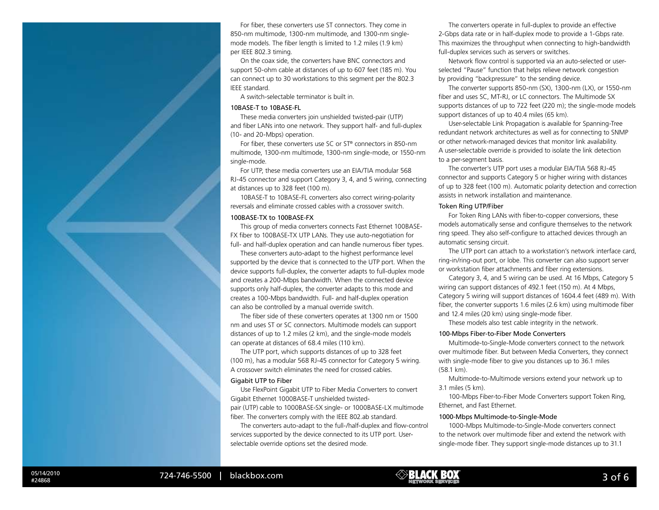For fiber, these converters use ST connectors. They come in 850-nm multimode, 1300-nm multimode, and 1300-nm singlemode models. The fiber length is limited to 1.2 miles (1.9 km) per IEEE 802.3 timing.

On the coax side, the converters have BNC connectors and support 50-ohm cable at distances of up to 607 feet (185 m). You can connect up to 30 workstations to this segment per the 802.3 IEEE standard.

A switch-selectable terminator is built in.

#### 10BASE-T to 10BASE-FL

These media converters join unshielded twisted-pair (UTP) and fiber LANs into one network. They support half- and full-duplex (10- and 20-Mbps) operation.

For fiber, these converters use SC or ST® connectors in 850-nm multimode, 1300-nm multimode, 1300-nm single-mode, or 1550-nm single-mode.

For UTP, these media converters use an EIA/TIA modular 568 RJ-45 connector and support Category 3, 4, and 5 wiring, connecting at distances up to 328 feet (100 m).

10BASE-T to 10BASE-FL converters also correct wiring-polarity reversals and eliminate crossed cables with a crossover switch.

#### 100BASE-TX to 100BASE-FX

This group of media converters connects Fast Ethernet 100BASE-FX fiber to 100BASE-TX UTP LANs. They use auto-negotiation for full- and half-duplex operation and can handle numerous fiber types.

These converters auto-adapt to the highest performance level supported by the device that is connected to the UTP port. When the device supports full-duplex, the converter adapts to full-duplex mode and creates a 200-Mbps bandwidth. When the connected device supports only half-duplex, the converter adapts to this mode and creates a 100-Mbps bandwidth. Full- and half-duplex operation can also be controlled by a manual override switch.

The fiber side of these converters operates at 1300 nm or 1500 nm and uses ST or SC connectors. Multimode models can support distances of up to 1.2 miles (2 km), and the single-mode models can operate at distances of 68.4 miles (110 km).

The UTP port, which supports distances of up to 328 feet (100 m), has a modular 568 RJ-45 connector for Category 5 wiring. A crossover switch eliminates the need for crossed cables.

#### Gigabit UTP to Fiber

Use FlexPoint Gigabit UTP to Fiber Media Converters to convert Gigabit Ethernet 1000BASE-T unshielded twistedpair (UTP) cable to 1000BASE-SX single- or 1000BASE-LX multimode fiber. The converters comply with the IEEE 802.ab standard.

The converters auto-adapt to the full-/half-duplex and flow-control services supported by the device connected to its UTP port. Userselectable override options set the desired mode.

The converters operate in full-duplex to provide an effective 2-Gbps data rate or in half-duplex mode to provide a 1-Gbps rate. This maximizes the throughput when connecting to high-bandwidth full-duplex services such as servers or switches.

Network flow control is supported via an auto-selected or userselected "Pause" function that helps relieve network congestion by providing "backpressure" to the sending device.

The converter supports 850-nm (SX), 1300-nm (LX), or 1550-nm fiber and uses SC, MT-RJ, or LC connectors. The Multimode SX supports distances of up to 722 feet (220 m); the single-mode models support distances of up to 40.4 miles (65 km).

User-selectable Link Propagation is available for Spanning-Tree redundant network architectures as well as for connecting to SNMP or other network-managed devices that monitor link availability. A user-selectable override is provided to isolate the link detection to a per-segment basis.

The converter's UTP port uses a modular EIA/TIA 568 RJ-45 connector and supports Category 5 or higher wiring with distances of up to 328 feet (100 m). Automatic polarity detection and correction assists in network installation and maintenance.

#### Token Ring UTP/Fiber

For Token Ring LANs with fiber-to-copper conversions, these models automatically sense and configure themselves to the network ring speed. They also self-configure to attached devices through an automatic sensing circuit.

The UTP port can attach to a workstation's network interface card, ring-in/ring-out port, or lobe. This converter can also support server or workstation fiber attachments and fiber ring extensions.

Category 3, 4, and 5 wiring can be used. At 16 Mbps, Category 5 wiring can support distances of 492.1 feet (150 m). At 4 Mbps, Category 5 wiring will support distances of 1604.4 feet (489 m). With fiber, the converter supports 1.6 miles (2.6 km) using multimode fiber and 12.4 miles (20 km) using single-mode fiber.

These models also test cable integrity in the network.

#### 100-Mbps Fiber-to-Fiber Mode Converters

Multimode-to-Single-Mode converters connect to the network over multimode fiber. But between Media Converters, they connect with single-mode fiber to give you distances up to 36.1 miles (58.1 km).

Multimode-to-Multimode versions extend your network up to 3.1 miles (5 km).

100-Mbps Fiber-to-Fiber Mode Converters support Token Ring, Ethernet, and Fast Ethernet.

#### 1000-Mbps Multimode-to-Single-Mode

1000-Mbps Multimode-to-Single-Mode converters connect to the network over multimode fiber and extend the network with single-mode fiber. They support single-mode distances up to 31.1

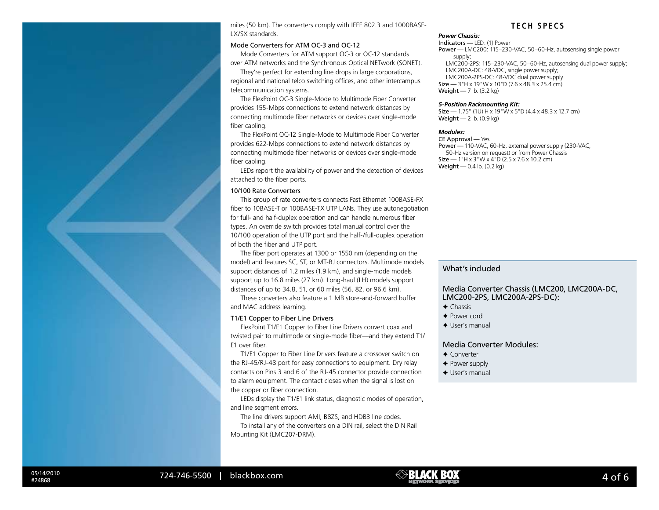miles (50 km). The converters comply with IEEE 802.3 and 1000BASE-LX/SX standards.

#### Mode Converters for ATM OC-3 and OC-12

Mode Converters for ATM support OC-3 or OC-12 standards over ATM networks and the Synchronous Optical NETwork (SONET).

They're perfect for extending line drops in large corporations, regional and national telco switching offices, and other intercampus telecommunication systems.

The FlexPoint OC-3 Single-Mode to Multimode Fiber Converter provides 155-Mbps connections to extend network distances by connecting multimode fiber networks or devices over single-mode fiber cabling.

The FlexPoint OC-12 Single-Mode to Multimode Fiber Converter provides 622-Mbps connections to extend network distances by connecting multimode fiber networks or devices over single-mode fiber cabling.

LEDs report the availability of power and the detection of devices attached to the fiber ports.

#### 10/100 Rate Converters

This group of rate converters connects Fast Ethernet 100BASE-FX fiber to 10BASE-T or 100BASE-TX UTP LANs. They use autonegotiation for full- and half-duplex operation and can handle numerous fiber types. An override switch provides total manual control over the 10/100 operation of the UTP port and the half-/full-duplex operation of both the fiber and UTP port.

The fiber port operates at 1300 or 1550 nm (depending on the model) and features SC, ST, or MT-RJ connectors. Multimode models support distances of 1.2 miles (1.9 km), and single-mode models support up to 16.8 miles (27 km). Long-haul (LH) models support distances of up to 34.8, 51, or 60 miles (56, 82, or 96.6 km).

These converters also feature a 1 MB store-and-forward buffer and MAC address learning.

#### T1/E1 Copper to Fiber Line Drivers

FlexPoint T1/E1 Copper to Fiber Line Drivers convert coax and twisted pair to multimode or single-mode fiber—and they extend T1/ E1 over fiber.

T1/E1 Copper to Fiber Line Drivers feature a crossover switch on the RJ-45/RJ-48 port for easy connections to equipment. Dry relay contacts on Pins 3 and 6 of the RJ-45 connector provide connection to alarm equipment. The contact closes when the signal is lost on the copper or fiber connection.

LEDs display the T1/E1 link status, diagnostic modes of operation, and line segment errors.

The line drivers support AMI, B8ZS, and HDB3 line codes.

To install any of the converters on a DIN rail, select the DIN Rail Mounting Kit (LMC207-DRM).

## **T e c h SPe cs**

## *Power Chassis:*

Indicators — LED: (1) Power Power — LMC200: 115–230-VAC, 50–60-Hz, autosensing single power supply; LMC200-2PS: 115–230-VAC, 50–60-Hz, autosensing dual power supply; LMC200A-DC: 48-VDC, single power supply; LMC200A-2PS-DC: 48-VDC dual power supply Size — 3"H x 19"W x 10"D (7.6 x 48.3 x 25.4 cm) Weight — 7 lb. (3.2 kg)

#### *5-Position Rackmounting Kit:*

Size — 1.75" (10) H x 19"W x 5"D (4.4 x 48.3 x 12.7 cm) Weight  $-2$  lb.  $(0.9 \text{ kg})$ 

#### *Modules:*

CE Approval — Yes Power — 110-VAC, 60-Hz, external power supply (230-VAC, 50-Hz version on request) or from Power Chassis Size — 1"H x 3"W x 4"D (2.5 x 7.6 x 10.2 cm) Weight — 0.4 lb. (0.2 kg)

## What's included

Media Converter Chassis (LMC200, LMC200A-DC, LMC200-2PS, LMC200A-2PS-DC):

- $\triangleleft$  Chassis
- ✦ Power cord
- ✦ User's manual

Media Converter Modules:

- ✦ Converter
- ✦ Power supply
- ◆ User's manual

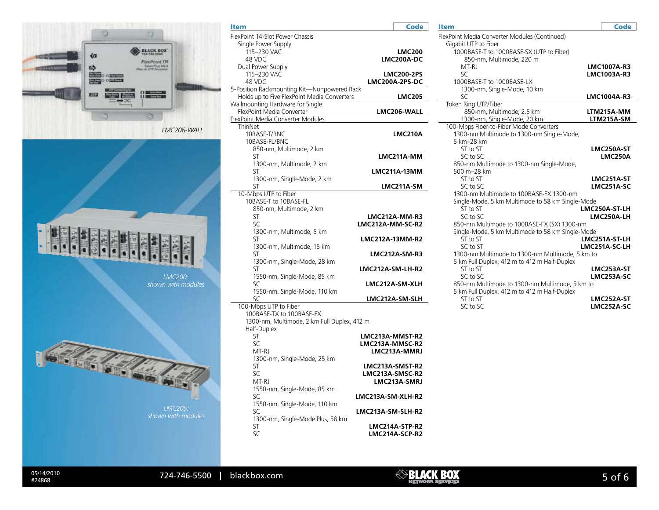

| Item                                        | <b>Code</b>                         |
|---------------------------------------------|-------------------------------------|
| FlexPoint 14-Slot Power Chassis             |                                     |
| Single Power Supply                         |                                     |
| 115-230 VAC                                 | <b>LMC200</b>                       |
| 48 VDC                                      | LMC200A-DC                          |
| Dual Power Supply                           |                                     |
| 115-230 VAC<br>48 VDC                       | <b>LMC200-2PS</b><br>LMC200A-2PS-DC |
| 5-Position Rackmounting Kit-Nonpowered Rack |                                     |
| Holds up to Five FlexPoint Media Converters | <b>LMC205</b>                       |
| Wallmounting Hardware for Single            |                                     |
| FlexPoint Media Converter                   | LMC206-WALL                         |
| FlexPoint Media Converter Modules           |                                     |
| ThinNet                                     |                                     |
| 10BASE-T/BNC                                | LMC210A                             |
| 10BASE-FL/BNC                               |                                     |
| 850-nm, Multimode, 2 km<br>ST               | LMC211A-MM                          |
| 1300-nm, Multimode, 2 km                    |                                     |
| ST                                          | <b>LMC211A-13MM</b>                 |
| 1300-nm, Single-Mode, 2 km                  |                                     |
| ST                                          | LMC211A-SM                          |
| 10-Mbps UTP to Fiber                        |                                     |
| 10BASE-T to 10BASE-FL                       |                                     |
| 850-nm, Multimode, 2 km                     |                                     |
| ST                                          | <b>LMC212A-MM-R3</b>                |
| SC                                          | LMC212A-MM-SC-R2                    |
| 1300-nm, Multimode, 5 km<br>ST              | LMC212A-13MM-R2                     |
| 1300-nm, Multimode, 15 km                   |                                     |
| ST                                          | <b>LMC212A-SM-R3</b>                |
| 1300-nm, Single-Mode, 28 km                 |                                     |
| ST                                          | LMC212A-SM-LH-R2                    |
| 1550-nm, Single-Mode, 85 km                 |                                     |
| SC                                          | LMC212A-SM-XLH                      |
| 1550-nm, Single-Mode, 110 km                |                                     |
| SC<br>100-Mbps UTP to Fiber                 | LMC212A-SM-SLH                      |
| 100BASE-TX to 100BASE-FX                    |                                     |
| 1300-nm, Multimode, 2 km Full Duplex, 412 m |                                     |
| Half-Duplex                                 |                                     |
| ST                                          | LMC213A-MMST-R2                     |
| SC                                          | LMC213A-MMSC-R2                     |
| MT-RJ                                       | LMC213A-MMRJ                        |
| 1300-nm, Single-Mode, 25 km                 |                                     |
| ST<br>SC                                    | LMC213A-SMST-R2<br>LMC213A-SMSC-R2  |
| MT-RJ                                       | LMC213A-SMRJ                        |
| 1550-nm, Single-Mode, 85 km                 |                                     |
| SC                                          | LMC213A-SM-XLH-R2                   |
| 1550-nm, Single-Mode, 110 km                |                                     |
| SC                                          | LMC213A-SM-SLH-R2                   |
| 1300-nm, Single-Mode Plus, 58 km            |                                     |
| ST                                          | LMC214A-STP-R2                      |
| SC                                          | LMC214A-SCP-R2                      |

| ----- |  |
|-------|--|
|       |  |

| FlexPoint Media Converter Modules (Continued)    |                |
|--------------------------------------------------|----------------|
| Gigabit UTP to Fiber                             |                |
| 1000BASE-T to 1000BASE-SX (UTP to Fiber)         |                |
| 850-nm, Multimode, 220 m                         |                |
| MT-RJ                                            | LMC1007A-R3    |
| $\varsigma$ C                                    | LMC1003A-R3    |
| 1000BASE-T to 1000BASE-LX                        |                |
| 1300-nm, Single-Mode, 10 km                      |                |
| SC                                               | LMC1004A-R3    |
| Token Ring UTP/Fiber                             |                |
| 850-nm, Multimode, 2.5 km                        | LTM215A-MM     |
| 1300-nm, Single-Mode, 20 km                      | LTM215A-SM     |
| 100-Mbps Fiber-to-Fiber Mode Converters          |                |
| 1300-nm Multimode to 1300-nm Single-Mode,        |                |
| 5 km-28 km                                       |                |
| ST to ST                                         | LMC250A-ST     |
| SC to SC                                         | <b>LMC250A</b> |
| 850-nm Multimode to 1300-nm Single-Mode,         |                |
| 500 m-28 km                                      |                |
| ST to ST                                         | LMC251A-ST     |
| SC to SC                                         | LMC251A-SC     |
| 1300-nm Multimode to 100BASE-FX 1300-nm          |                |
| Single-Mode, 5 km Multimode to 58 km Single-Mode |                |
| ST to ST                                         | LMC250A-ST-LH  |
| SC to SC                                         | LMC250A-LH     |
| 850-nm Multimode to 100BASE-FX (SX) 1300-nm      |                |
| Single-Mode, 5 km Multimode to 58 km Single-Mode |                |
| ST to ST                                         | LMC251A-ST-LH  |
| SC to ST                                         | LMC251A-SC-LH  |
| 1300-nm Multimode to 1300-nm Multimode, 5 km to  |                |
| 5 km Full Duplex, 412 m to 412 m Half-Duplex     |                |
| ST to ST                                         | LMC253A-ST     |
| SC to SC                                         | LMC253A-SC     |
| 850-nm Multimode to 1300-nm Multimode, 5 km to   |                |
| 5 km Full Duplex, 412 m to 412 m Half-Duplex     |                |
| ST to ST                                         | LMC252A-ST     |
| SC to SC                                         | LMC252A-SC     |